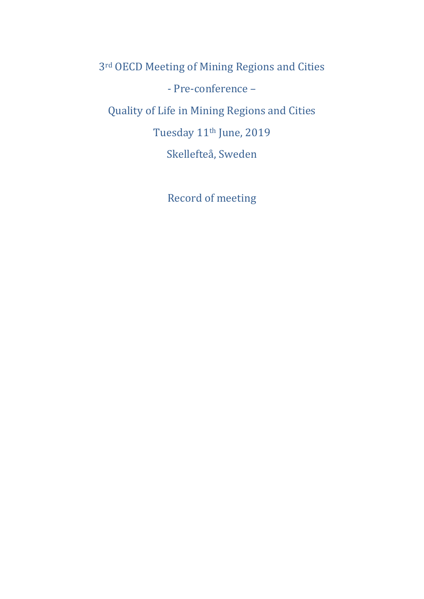3rd OECD Meeting of Mining Regions and Cities - Pre-conference – Quality of Life in Mining Regions and Cities Tuesday 11th June, 2019 Skellefteå, Sweden

Record of meeting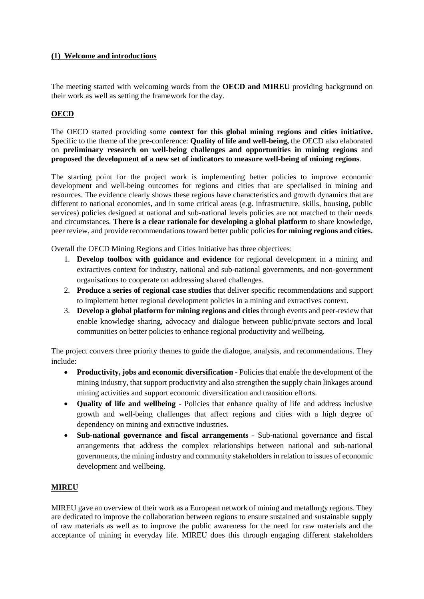#### **(1) Welcome and introductions**

The meeting started with welcoming words from the **OECD and MIREU** providing background on their work as well as setting the framework for the day.

# **OECD**

The OECD started providing some **context for this global mining regions and cities initiative.**  Specific to the theme of the pre-conference: **Quality of life and well-being,** the OECD also elaborated on **preliminary research on well-being challenges and opportunities in mining regions** and **proposed the development of a new set of indicators to measure well-being of mining regions**.

The starting point for the project work is implementing better policies to improve economic development and well-being outcomes for regions and cities that are specialised in mining and resources. The evidence clearly shows these regions have characteristics and growth dynamics that are different to national economies, and in some critical areas (e.g. infrastructure, skills, housing, public services) policies designed at national and sub-national levels policies are not matched to their needs and circumstances. **There is a clear rationale for developing a global platform** to share knowledge, peer review, and provide recommendations toward better public policies **for mining regions and cities.**

Overall the OECD Mining Regions and Cities Initiative has three objectives:

- 1. **Develop toolbox with guidance and evidence** for regional development in a mining and extractives context for industry, national and sub-national governments, and non-government organisations to cooperate on addressing shared challenges.
- 2. **Produce a series of regional case studies** that deliver specific recommendations and support to implement better regional development policies in a mining and extractives context.
- 3. **Develop a global platform for mining regions and cities** through events and peer-review that enable knowledge sharing, advocacy and dialogue between public/private sectors and local communities on better policies to enhance regional productivity and wellbeing.

The project convers three priority themes to guide the dialogue, analysis, and recommendations. They include:

- **Productivity, jobs and economic diversification -** Policies that enable the development of the mining industry, that support productivity and also strengthen the supply chain linkages around mining activities and support economic diversification and transition efforts.
- **Quality of life and wellbeing** Policies that enhance quality of life and address inclusive growth and well-being challenges that affect regions and cities with a high degree of dependency on mining and extractive industries.
- **Sub-national governance and fiscal arrangements** Sub-national governance and fiscal arrangements that address the complex relationships between national and sub-national governments, the mining industry and community stakeholders in relation to issues of economic development and wellbeing.

## **MIREU**

MIREU gave an overview of their work as a European network of mining and metallurgy regions. They are dedicated to improve the collaboration between regions to ensure sustained and sustainable supply of raw materials as well as to improve the public awareness for the need for raw materials and the acceptance of mining in everyday life. MIREU does this through engaging different stakeholders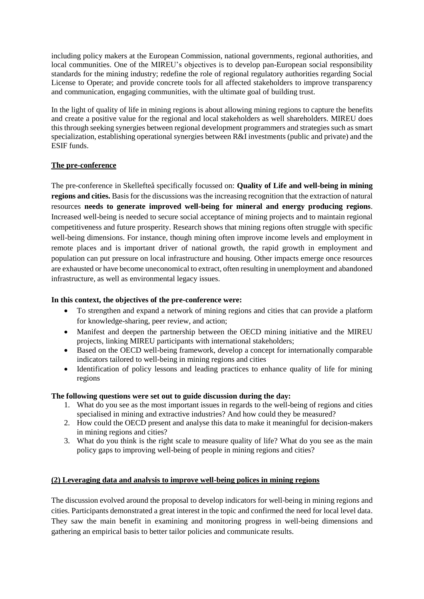including policy makers at the European Commission, national governments, regional authorities, and local communities. One of the MIREU's objectives is to develop pan-European social responsibility standards for the mining industry; redefine the role of regional regulatory authorities regarding Social License to Operate; and provide concrete tools for all affected stakeholders to improve transparency and communication, engaging communities, with the ultimate goal of building trust.

In the light of quality of life in mining regions is about allowing mining regions to capture the benefits and create a positive value for the regional and local stakeholders as well shareholders. MIREU does this through seeking synergies between regional development programmers and strategies such as smart specialization, establishing operational synergies between R&I investments (public and private) and the ESIF funds.

## **The pre-conference**

The pre-conference in Skellefteå specifically focussed on: **Quality of Life and well-being in mining regions and cities.** Basis for the discussions was the increasing recognition that the extraction of natural resources **needs to generate improved well-being for mineral and energy producing regions**. Increased well-being is needed to secure social acceptance of mining projects and to maintain regional competitiveness and future prosperity. Research shows that mining regions often struggle with specific well-being dimensions. For instance, though mining often improve income levels and employment in remote places and is important driver of national growth, the rapid growth in employment and population can put pressure on local infrastructure and housing. Other impacts emerge once resources are exhausted or have become uneconomical to extract, often resulting in unemployment and abandoned infrastructure, as well as environmental legacy issues.

#### **In this context, the objectives of the pre-conference were:**

- To strengthen and expand a network of mining regions and cities that can provide a platform for knowledge-sharing, peer review, and action;
- Manifest and deepen the partnership between the OECD mining initiative and the MIREU projects, linking MIREU participants with international stakeholders;
- Based on the OECD well-being framework, develop a concept for internationally comparable indicators tailored to well-being in mining regions and cities
- Identification of policy lessons and leading practices to enhance quality of life for mining regions

#### **The following questions were set out to guide discussion during the day:**

- 1. What do you see as the most important issues in regards to the well-being of regions and cities specialised in mining and extractive industries? And how could they be measured?
- 2. How could the OECD present and analyse this data to make it meaningful for decision-makers in mining regions and cities?
- 3. What do you think is the right scale to measure quality of life? What do you see as the main policy gaps to improving well-being of people in mining regions and cities?

## **(2) Leveraging data and analysis to improve well-being polices in mining regions**

The discussion evolved around the proposal to develop indicators for well-being in mining regions and cities. Participants demonstrated a great interest in the topic and confirmed the need for local level data. They saw the main benefit in examining and monitoring progress in well-being dimensions and gathering an empirical basis to better tailor policies and communicate results.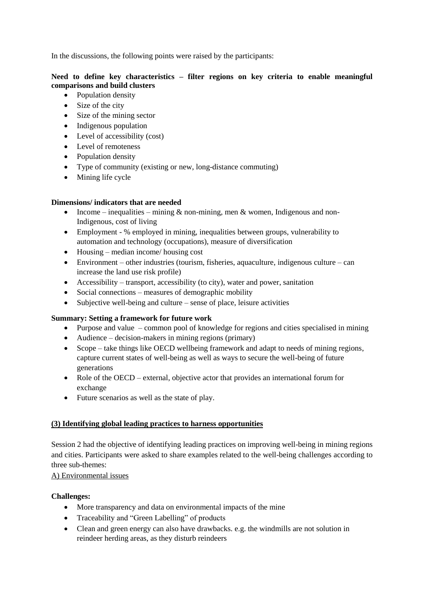In the discussions, the following points were raised by the participants:

# **Need to define key characteristics – filter regions on key criteria to enable meaningful comparisons and build clusters**

- Population density
- Size of the city
- Size of the mining sector
- Indigenous population
- Level of accessibility (cost)
- Level of remoteness
- Population density
- Type of community (existing or new, long-distance commuting)
- Mining life cycle

## **Dimensions/ indicators that are needed**

- Income inequalities mining  $\&$  non-mining, men  $\&$  women, Indigenous and non-Indigenous, cost of living
- Employment % employed in mining, inequalities between groups, vulnerability to automation and technology (occupations), measure of diversification
- Housing median income/ housing cost
- $\bullet$  Environment other industries (tourism, fisheries, aquaculture, indigenous culture can increase the land use risk profile)
- Accessibility transport, accessibility (to city), water and power, sanitation
- Social connections measures of demographic mobility
- $\bullet$  Subjective well-being and culture sense of place, leisure activities

## **Summary: Setting a framework for future work**

- Purpose and value common pool of knowledge for regions and cities specialised in mining
- Audience decision-makers in mining regions (primary)
- Scope take things like OECD wellbeing framework and adapt to needs of mining regions, capture current states of well-being as well as ways to secure the well-being of future generations
- Role of the OECD external, objective actor that provides an international forum for exchange
- Future scenarios as well as the state of play.

## **(3) Identifying global leading practices to harness opportunities**

Session 2 had the objective of identifying leading practices on improving well-being in mining regions and cities. Participants were asked to share examples related to the well-being challenges according to three sub-themes:

## A) Environmental issues

## **Challenges:**

- More transparency and data on environmental impacts of the mine
- Traceability and "Green Labelling" of products
- Clean and green energy can also have drawbacks. e.g. the windmills are not solution in reindeer herding areas, as they disturb reindeers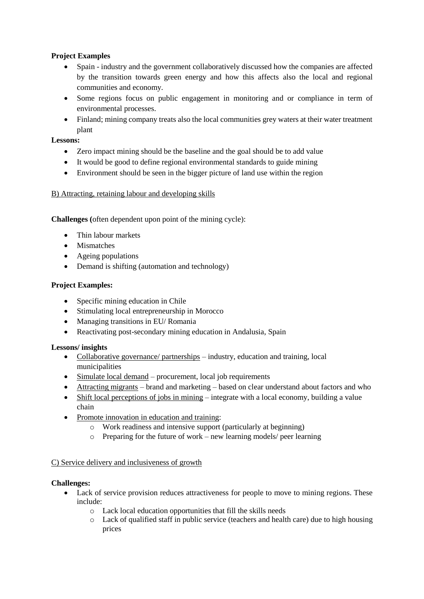# **Project Examples**

- Spain industry and the government collaboratively discussed how the companies are affected by the transition towards green energy and how this affects also the local and regional communities and economy.
- Some regions focus on public engagement in monitoring and or compliance in term of environmental processes.
- Finland; mining company treats also the local communities grey waters at their water treatment plant

# **Lessons:**

- Zero impact mining should be the baseline and the goal should be to add value
- It would be good to define regional environmental standards to guide mining
- Environment should be seen in the bigger picture of land use within the region

## B) Attracting, retaining labour and developing skills

**Challenges (**often dependent upon point of the mining cycle):

- Thin labour markets
- Mismatches
- Ageing populations
- Demand is shifting (automation and technology)

## **Project Examples:**

- Specific mining education in Chile
- Stimulating local entrepreneurship in Morocco
- Managing transitions in EU/ Romania
- Reactivating post-secondary mining education in Andalusia, Spain

## **Lessons/ insights**

- Collaborative governance/ partnerships industry, education and training, local municipalities
- Simulate local demand procurement, local job requirements
- Attracting migrants brand and marketing based on clear understand about factors and who
- Shift local perceptions of jobs in mining integrate with a local economy, building a value chain
- Promote innovation in education and training:
	- o Work readiness and intensive support (particularly at beginning)
	- o Preparing for the future of work new learning models/ peer learning

## C) Service delivery and inclusiveness of growth

## **Challenges:**

- Lack of service provision reduces attractiveness for people to move to mining regions. These include:
	- o Lack local education opportunities that fill the skills needs
	- o Lack of qualified staff in public service (teachers and health care) due to high housing prices